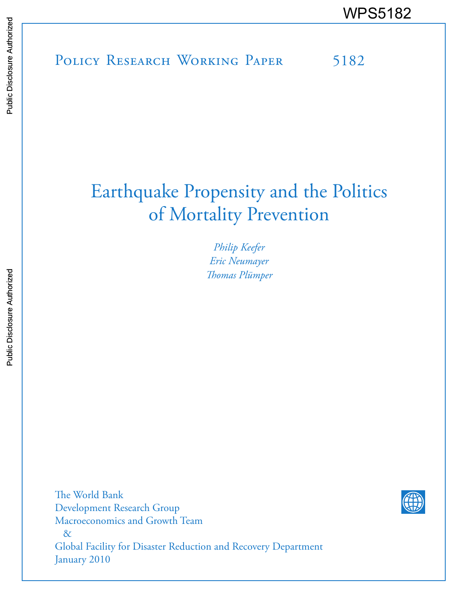# POLICY RESEARCH WORKING PAPER 5182 WPS5182

# Earthquake Propensity and the Politics of Mortality Prevention

*Philip Keefer Eric Neumayer Thomas Plümper*

The World Bank Development Research Group Macroeconomics and Growth Team & Global Facility for Disaster Reduction and Recovery Department January 2010

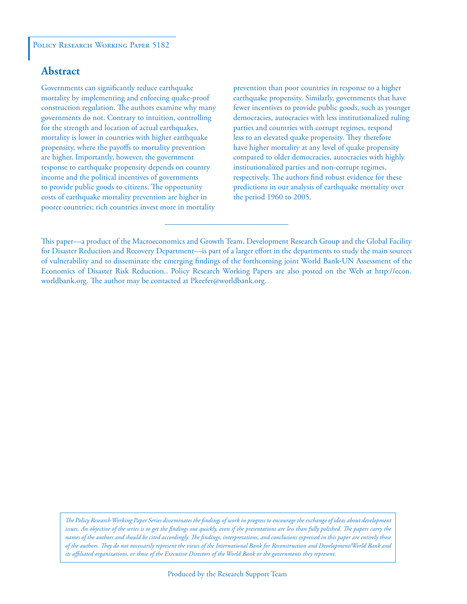#### POLICY RESEARCH WORKING PAPER 5182

#### **Abstract**

Governments can significantly reduce earthquake mortality by implementing and enforcing quake-proof construction regulation. The authors examine why many governments do not. Contrary to intuition, controlling for the strength and location of actual earthquakes, mortality is lower in countries with higher earthquake propensity, where the payoffs to mortality prevention are higher. Importantly, however, the government response to earthquake propensity depends on country income and the political incentives of governments to provide public goods to citizens. The opportunity costs of earthquake mortality prevention are higher in poorer countries; rich countries invest more in mortality

prevention than poor countries in response to a higher earthquake propensity. Similarly, governments that have fewer incentives to provide public goods, such as younger democracies, autocracies with less institutionalized ruling parties and countries with corrupt regimes, respond less to an elevated quake propensity. They therefore have higher mortality at any level of quake propensity compared to older democracies, autocracies with highly institutionalized parties and non-corrupt regimes, respectively. The authors find robust evidence for these predictions in our analysis of earthquake mortality over the period 1960 to 2005.

This paper—a product of the Macroeconomics and Growth Team, Development Research Group and the Global Facility for Disaster Reduction and Recovery Department—is part of a larger effort in the departments to study the main sources of vulnerability and to disseminate the emerging findings of the forthcoming joint World Bank-UN Assessment of the Economics of Disaster Risk Reduction.. Policy Research Working Papers are also posted on the Web at http://econ. worldbank.org. The author may be contacted at Pkeefer@worldbank.org.

*The Policy Research Working Paper Series disseminates the findings of work in progress to encourage the exchange of ideas about development*  issues. An objective of the series is to get the findings out quickly, even if the presentations are less than fully polished. The papers carry the *names of the authors and should be cited accordingly. The findings, interpretations, and conclusions expressed in this paper are entirely those of the authors. They do not necessarily represent the views of the International Bank for Reconstruction and Development/World Bank and its affiliated organizations, or those of the Executive Directors of the World Bank or the governments they represent.*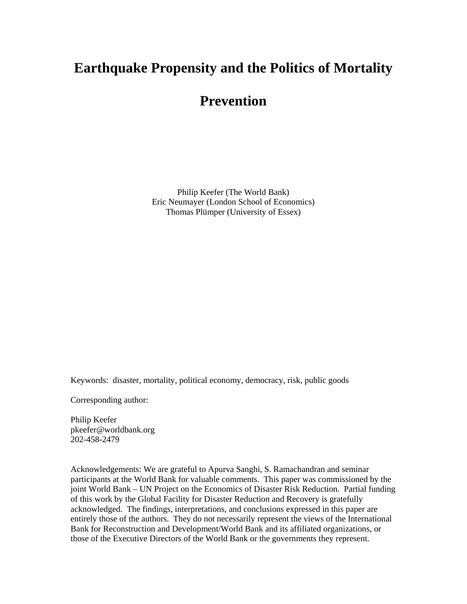## **Earthquake Propensity and the Politics of Mortality**

### **Prevention**

Philip Keefer (The World Bank) Eric Neumayer (London School of Economics) Thomas Plümper (University of Essex)

Keywords: disaster, mortality, political economy, democracy, risk, public goods

Corresponding author:

Philip Keefer pkeefer@worldbank.org 202-458-2479

Acknowledgements: We are grateful to Apurva Sanghi, S. Ramachandran and seminar participants at the World Bank for valuable comments. This paper was commissioned by the joint World Bank – UN Project on the Economics of Disaster Risk Reduction. Partial funding of this work by the Global Facility for Disaster Reduction and Recovery is gratefully acknowledged. The findings, interpretations, and conclusions expressed in this paper are entirely those of the authors. They do not necessarily represent the views of the International Bank for Reconstruction and Development/World Bank and its affiliated organizations, or those of the Executive Directors of the World Bank or the governments they represent.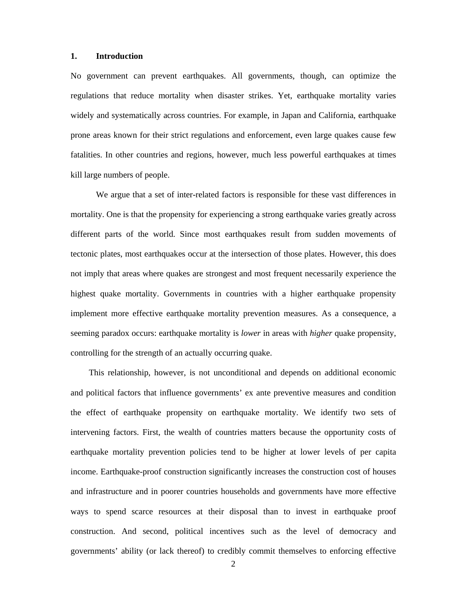#### **1. Introduction**

No government can prevent earthquakes. All governments, though, can optimize the regulations that reduce mortality when disaster strikes. Yet, earthquake mortality varies widely and systematically across countries. For example, in Japan and California, earthquake prone areas known for their strict regulations and enforcement, even large quakes cause few fatalities. In other countries and regions, however, much less powerful earthquakes at times kill large numbers of people.

We argue that a set of inter-related factors is responsible for these vast differences in mortality. One is that the propensity for experiencing a strong earthquake varies greatly across different parts of the world. Since most earthquakes result from sudden movements of tectonic plates, most earthquakes occur at the intersection of those plates. However, this does not imply that areas where quakes are strongest and most frequent necessarily experience the highest quake mortality. Governments in countries with a higher earthquake propensity implement more effective earthquake mortality prevention measures. As a consequence, a seeming paradox occurs: earthquake mortality is *lower* in areas with *higher* quake propensity, controlling for the strength of an actually occurring quake.

This relationship, however, is not unconditional and depends on additional economic and political factors that influence governments' ex ante preventive measures and condition the effect of earthquake propensity on earthquake mortality. We identify two sets of intervening factors. First, the wealth of countries matters because the opportunity costs of earthquake mortality prevention policies tend to be higher at lower levels of per capita income. Earthquake-proof construction significantly increases the construction cost of houses and infrastructure and in poorer countries households and governments have more effective ways to spend scarce resources at their disposal than to invest in earthquake proof construction. And second, political incentives such as the level of democracy and governments' ability (or lack thereof) to credibly commit themselves to enforcing effective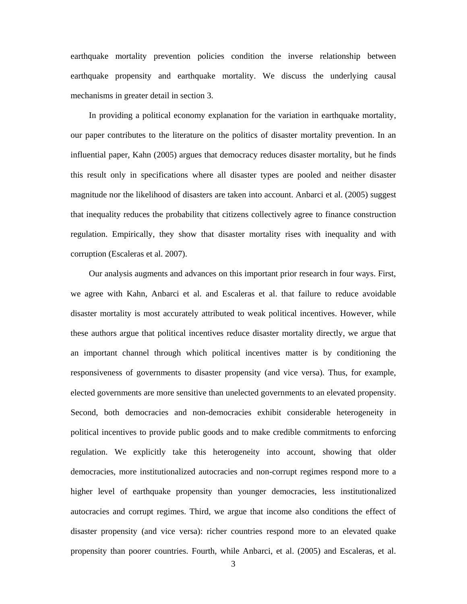earthquake mortality prevention policies condition the inverse relationship between earthquake propensity and earthquake mortality. We discuss the underlying causal mechanisms in greater detail in section 3.

In providing a political economy explanation for the variation in earthquake mortality, our paper contributes to the literature on the politics of disaster mortality prevention. In an influential paper, Kahn (2005) argues that democracy reduces disaster mortality, but he finds this result only in specifications where all disaster types are pooled and neither disaster magnitude nor the likelihood of disasters are taken into account. Anbarci et al. (2005) suggest that inequality reduces the probability that citizens collectively agree to finance construction regulation. Empirically, they show that disaster mortality rises with inequality and with corruption (Escaleras et al. 2007).

Our analysis augments and advances on this important prior research in four ways. First, we agree with Kahn, Anbarci et al. and Escaleras et al. that failure to reduce avoidable disaster mortality is most accurately attributed to weak political incentives. However, while these authors argue that political incentives reduce disaster mortality directly, we argue that an important channel through which political incentives matter is by conditioning the responsiveness of governments to disaster propensity (and vice versa). Thus, for example, elected governments are more sensitive than unelected governments to an elevated propensity. Second, both democracies and non-democracies exhibit considerable heterogeneity in political incentives to provide public goods and to make credible commitments to enforcing regulation. We explicitly take this heterogeneity into account, showing that older democracies, more institutionalized autocracies and non-corrupt regimes respond more to a higher level of earthquake propensity than younger democracies, less institutionalized autocracies and corrupt regimes. Third, we argue that income also conditions the effect of disaster propensity (and vice versa): richer countries respond more to an elevated quake propensity than poorer countries. Fourth, while Anbarci, et al. (2005) and Escaleras, et al.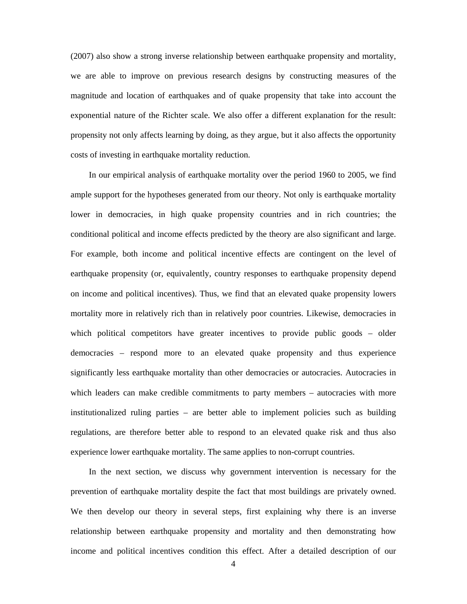(2007) also show a strong inverse relationship between earthquake propensity and mortality, we are able to improve on previous research designs by constructing measures of the magnitude and location of earthquakes and of quake propensity that take into account the exponential nature of the Richter scale. We also offer a different explanation for the result: propensity not only affects learning by doing, as they argue, but it also affects the opportunity costs of investing in earthquake mortality reduction.

In our empirical analysis of earthquake mortality over the period 1960 to 2005, we find ample support for the hypotheses generated from our theory. Not only is earthquake mortality lower in democracies, in high quake propensity countries and in rich countries; the conditional political and income effects predicted by the theory are also significant and large. For example, both income and political incentive effects are contingent on the level of earthquake propensity (or, equivalently, country responses to earthquake propensity depend on income and political incentives). Thus, we find that an elevated quake propensity lowers mortality more in relatively rich than in relatively poor countries. Likewise, democracies in which political competitors have greater incentives to provide public goods – older democracies – respond more to an elevated quake propensity and thus experience significantly less earthquake mortality than other democracies or autocracies. Autocracies in which leaders can make credible commitments to party members – autocracies with more institutionalized ruling parties – are better able to implement policies such as building regulations, are therefore better able to respond to an elevated quake risk and thus also experience lower earthquake mortality. The same applies to non-corrupt countries.

In the next section, we discuss why government intervention is necessary for the prevention of earthquake mortality despite the fact that most buildings are privately owned. We then develop our theory in several steps, first explaining why there is an inverse relationship between earthquake propensity and mortality and then demonstrating how income and political incentives condition this effect. After a detailed description of our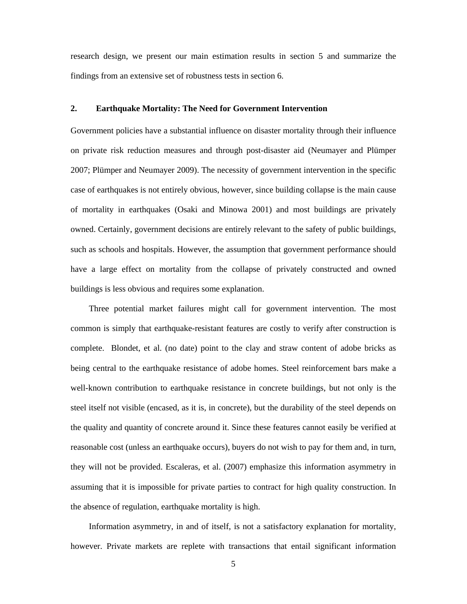research design, we present our main estimation results in section 5 and summarize the findings from an extensive set of robustness tests in section 6.

#### **2. Earthquake Mortality: The Need for Government Intervention**

Government policies have a substantial influence on disaster mortality through their influence on private risk reduction measures and through post-disaster aid (Neumayer and Plümper 2007; Plümper and Neumayer 2009). The necessity of government intervention in the specific case of earthquakes is not entirely obvious, however, since building collapse is the main cause of mortality in earthquakes (Osaki and Minowa 2001) and most buildings are privately owned. Certainly, government decisions are entirely relevant to the safety of public buildings, such as schools and hospitals. However, the assumption that government performance should have a large effect on mortality from the collapse of privately constructed and owned buildings is less obvious and requires some explanation.

Three potential market failures might call for government intervention. The most common is simply that earthquake-resistant features are costly to verify after construction is complete. Blondet, et al. (no date) point to the clay and straw content of adobe bricks as being central to the earthquake resistance of adobe homes. Steel reinforcement bars make a well-known contribution to earthquake resistance in concrete buildings, but not only is the steel itself not visible (encased, as it is, in concrete), but the durability of the steel depends on the quality and quantity of concrete around it. Since these features cannot easily be verified at reasonable cost (unless an earthquake occurs), buyers do not wish to pay for them and, in turn, they will not be provided. Escaleras, et al. (2007) emphasize this information asymmetry in assuming that it is impossible for private parties to contract for high quality construction. In the absence of regulation, earthquake mortality is high.

Information asymmetry, in and of itself, is not a satisfactory explanation for mortality, however. Private markets are replete with transactions that entail significant information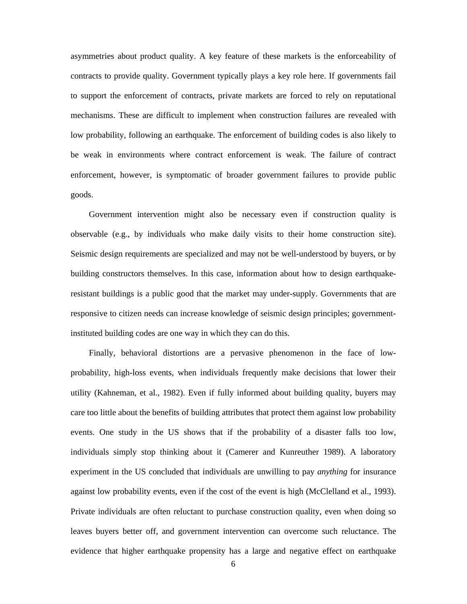asymmetries about product quality. A key feature of these markets is the enforceability of contracts to provide quality. Government typically plays a key role here. If governments fail to support the enforcement of contracts, private markets are forced to rely on reputational mechanisms. These are difficult to implement when construction failures are revealed with low probability, following an earthquake. The enforcement of building codes is also likely to be weak in environments where contract enforcement is weak. The failure of contract enforcement, however, is symptomatic of broader government failures to provide public goods.

Government intervention might also be necessary even if construction quality is observable (e.g., by individuals who make daily visits to their home construction site). Seismic design requirements are specialized and may not be well-understood by buyers, or by building constructors themselves. In this case, information about how to design earthquakeresistant buildings is a public good that the market may under-supply. Governments that are responsive to citizen needs can increase knowledge of seismic design principles; governmentinstituted building codes are one way in which they can do this.

Finally, behavioral distortions are a pervasive phenomenon in the face of lowprobability, high-loss events, when individuals frequently make decisions that lower their utility (Kahneman, et al., 1982). Even if fully informed about building quality, buyers may care too little about the benefits of building attributes that protect them against low probability events. One study in the US shows that if the probability of a disaster falls too low, individuals simply stop thinking about it (Camerer and Kunreuther 1989). A laboratory experiment in the US concluded that individuals are unwilling to pay *anything* for insurance against low probability events, even if the cost of the event is high (McClelland et al., 1993). Private individuals are often reluctant to purchase construction quality, even when doing so leaves buyers better off, and government intervention can overcome such reluctance. The evidence that higher earthquake propensity has a large and negative effect on earthquake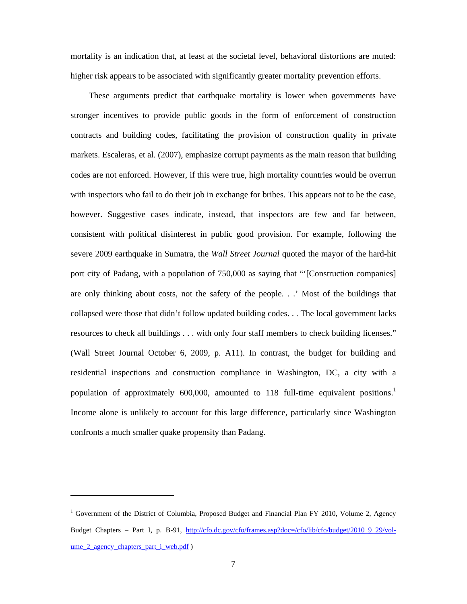mortality is an indication that, at least at the societal level, behavioral distortions are muted: higher risk appears to be associated with significantly greater mortality prevention efforts.

These arguments predict that earthquake mortality is lower when governments have stronger incentives to provide public goods in the form of enforcement of construction contracts and building codes, facilitating the provision of construction quality in private markets. Escaleras, et al. (2007), emphasize corrupt payments as the main reason that building codes are not enforced. However, if this were true, high mortality countries would be overrun with inspectors who fail to do their job in exchange for bribes. This appears not to be the case, however. Suggestive cases indicate, instead, that inspectors are few and far between, consistent with political disinterest in public good provision. For example, following the severe 2009 earthquake in Sumatra, the *Wall Street Journal* quoted the mayor of the hard-hit port city of Padang, with a population of 750,000 as saying that "'[Construction companies] are only thinking about costs, not the safety of the people. . .' Most of the buildings that collapsed were those that didn't follow updated building codes. . . The local government lacks resources to check all buildings . . . with only four staff members to check building licenses." (Wall Street Journal October 6, 2009, p. A11). In contrast, the budget for building and residential inspections and construction compliance in Washington, DC, a city with a population of approximately 600,000, amounted to 118 full-time equivalent positions.<sup>1</sup> Income alone is unlikely to account for this large difference, particularly since Washington confronts a much smaller quake propensity than Padang.

 $\overline{\phantom{a}}$ 

<sup>&</sup>lt;sup>1</sup> Government of the District of Columbia, Proposed Budget and Financial Plan FY 2010, Volume 2, Agency Budget Chapters – Part I, p. B-91, http://cfo.dc.gov/cfo/frames.asp?doc=/cfo/lib/cfo/budget/2010\_9\_29/volume 2 agency chapters part i web.pdf )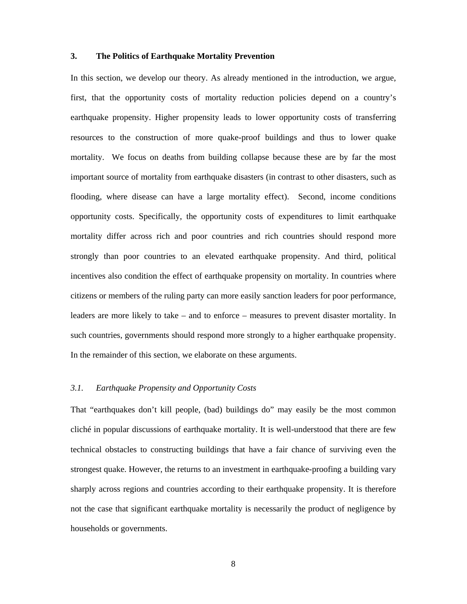#### **3. The Politics of Earthquake Mortality Prevention**

In this section, we develop our theory. As already mentioned in the introduction, we argue, first, that the opportunity costs of mortality reduction policies depend on a country's earthquake propensity. Higher propensity leads to lower opportunity costs of transferring resources to the construction of more quake-proof buildings and thus to lower quake mortality. We focus on deaths from building collapse because these are by far the most important source of mortality from earthquake disasters (in contrast to other disasters, such as flooding, where disease can have a large mortality effect). Second, income conditions opportunity costs. Specifically, the opportunity costs of expenditures to limit earthquake mortality differ across rich and poor countries and rich countries should respond more strongly than poor countries to an elevated earthquake propensity. And third, political incentives also condition the effect of earthquake propensity on mortality. In countries where citizens or members of the ruling party can more easily sanction leaders for poor performance, leaders are more likely to take – and to enforce – measures to prevent disaster mortality. In such countries, governments should respond more strongly to a higher earthquake propensity. In the remainder of this section, we elaborate on these arguments.

#### *3.1. Earthquake Propensity and Opportunity Costs*

That "earthquakes don't kill people, (bad) buildings do" may easily be the most common cliché in popular discussions of earthquake mortality. It is well-understood that there are few technical obstacles to constructing buildings that have a fair chance of surviving even the strongest quake. However, the returns to an investment in earthquake-proofing a building vary sharply across regions and countries according to their earthquake propensity. It is therefore not the case that significant earthquake mortality is necessarily the product of negligence by households or governments.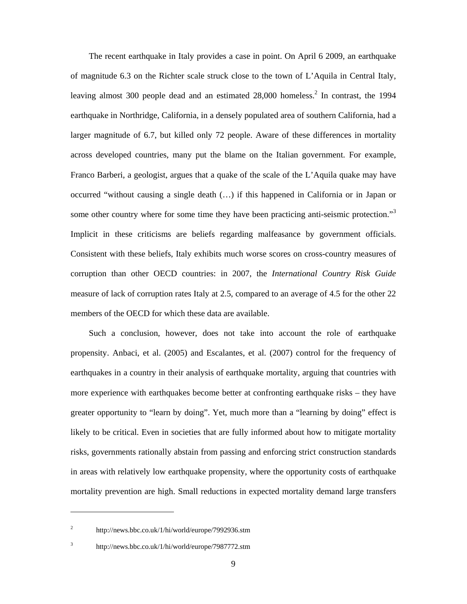The recent earthquake in Italy provides a case in point. On April 6 2009, an earthquake of magnitude 6.3 on the Richter scale struck close to the town of L'Aquila in Central Italy, leaving almost 300 people dead and an estimated 28,000 homeless.<sup>2</sup> In contrast, the 1994 earthquake in Northridge, California, in a densely populated area of southern California, had a larger magnitude of 6.7, but killed only 72 people. Aware of these differences in mortality across developed countries, many put the blame on the Italian government. For example, Franco Barberi, a geologist, argues that a quake of the scale of the L'Aquila quake may have occurred "without causing a single death (…) if this happened in California or in Japan or some other country where for some time they have been practicing anti-seismic protection."<sup>3</sup> Implicit in these criticisms are beliefs regarding malfeasance by government officials. Consistent with these beliefs, Italy exhibits much worse scores on cross-country measures of corruption than other OECD countries: in 2007, the *International Country Risk Guide* measure of lack of corruption rates Italy at 2.5, compared to an average of 4.5 for the other 22 members of the OECD for which these data are available.

Such a conclusion, however, does not take into account the role of earthquake propensity. Anbaci, et al. (2005) and Escalantes, et al. (2007) control for the frequency of earthquakes in a country in their analysis of earthquake mortality, arguing that countries with more experience with earthquakes become better at confronting earthquake risks – they have greater opportunity to "learn by doing". Yet, much more than a "learning by doing" effect is likely to be critical. Even in societies that are fully informed about how to mitigate mortality risks, governments rationally abstain from passing and enforcing strict construction standards in areas with relatively low earthquake propensity, where the opportunity costs of earthquake mortality prevention are high. Small reductions in expected mortality demand large transfers

3

 $\overline{a}$ 

<sup>2</sup> http://news.bbc.co.uk/1/hi/world/europe/7992936.stm

http://news.bbc.co.uk/1/hi/world/europe/7987772.stm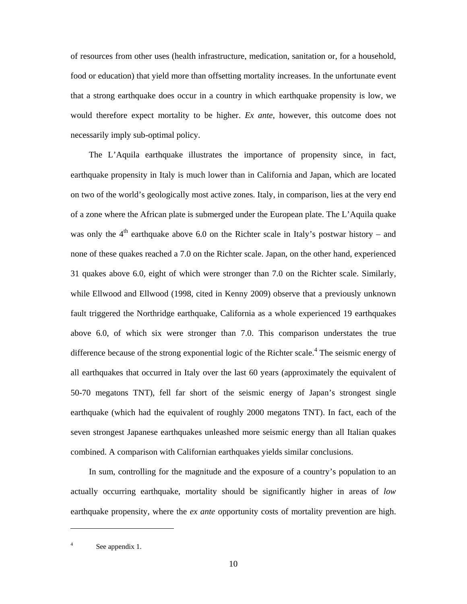of resources from other uses (health infrastructure, medication, sanitation or, for a household, food or education) that yield more than offsetting mortality increases. In the unfortunate event that a strong earthquake does occur in a country in which earthquake propensity is low, we would therefore expect mortality to be higher. *Ex ante*, however, this outcome does not necessarily imply sub-optimal policy.

The L'Aquila earthquake illustrates the importance of propensity since, in fact, earthquake propensity in Italy is much lower than in California and Japan, which are located on two of the world's geologically most active zones. Italy, in comparison, lies at the very end of a zone where the African plate is submerged under the European plate. The L'Aquila quake was only the  $4<sup>th</sup>$  earthquake above 6.0 on the Richter scale in Italy's postwar history – and none of these quakes reached a 7.0 on the Richter scale. Japan, on the other hand, experienced 31 quakes above 6.0, eight of which were stronger than 7.0 on the Richter scale. Similarly, while Ellwood and Ellwood (1998, cited in Kenny 2009) observe that a previously unknown fault triggered the Northridge earthquake, California as a whole experienced 19 earthquakes above 6.0, of which six were stronger than 7.0. This comparison understates the true difference because of the strong exponential logic of the Richter scale.<sup>4</sup> The seismic energy of all earthquakes that occurred in Italy over the last 60 years (approximately the equivalent of 50-70 megatons TNT), fell far short of the seismic energy of Japan's strongest single earthquake (which had the equivalent of roughly 2000 megatons TNT). In fact, each of the seven strongest Japanese earthquakes unleashed more seismic energy than all Italian quakes combined. A comparison with Californian earthquakes yields similar conclusions.

In sum, controlling for the magnitude and the exposure of a country's population to an actually occurring earthquake, mortality should be significantly higher in areas of *low* earthquake propensity, where the *ex ante* opportunity costs of mortality prevention are high.

 $\overline{\phantom{a}}$ 

<sup>4</sup> See appendix 1.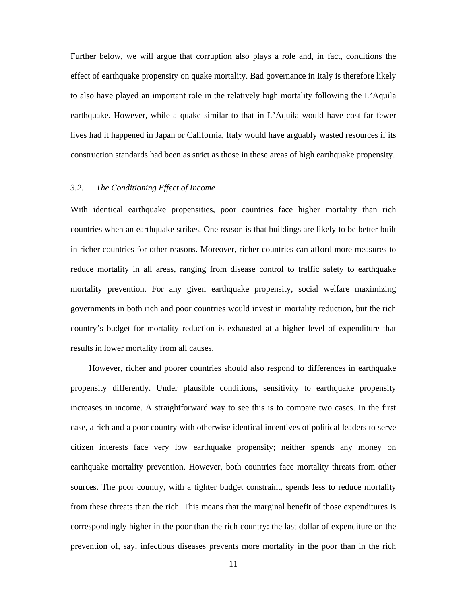Further below, we will argue that corruption also plays a role and, in fact, conditions the effect of earthquake propensity on quake mortality. Bad governance in Italy is therefore likely to also have played an important role in the relatively high mortality following the L'Aquila earthquake. However, while a quake similar to that in L'Aquila would have cost far fewer lives had it happened in Japan or California, Italy would have arguably wasted resources if its construction standards had been as strict as those in these areas of high earthquake propensity.

#### *3.2. The Conditioning Effect of Income*

With identical earthquake propensities, poor countries face higher mortality than rich countries when an earthquake strikes. One reason is that buildings are likely to be better built in richer countries for other reasons. Moreover, richer countries can afford more measures to reduce mortality in all areas, ranging from disease control to traffic safety to earthquake mortality prevention. For any given earthquake propensity, social welfare maximizing governments in both rich and poor countries would invest in mortality reduction, but the rich country's budget for mortality reduction is exhausted at a higher level of expenditure that results in lower mortality from all causes.

However, richer and poorer countries should also respond to differences in earthquake propensity differently. Under plausible conditions, sensitivity to earthquake propensity increases in income. A straightforward way to see this is to compare two cases. In the first case, a rich and a poor country with otherwise identical incentives of political leaders to serve citizen interests face very low earthquake propensity; neither spends any money on earthquake mortality prevention. However, both countries face mortality threats from other sources. The poor country, with a tighter budget constraint, spends less to reduce mortality from these threats than the rich. This means that the marginal benefit of those expenditures is correspondingly higher in the poor than the rich country: the last dollar of expenditure on the prevention of, say, infectious diseases prevents more mortality in the poor than in the rich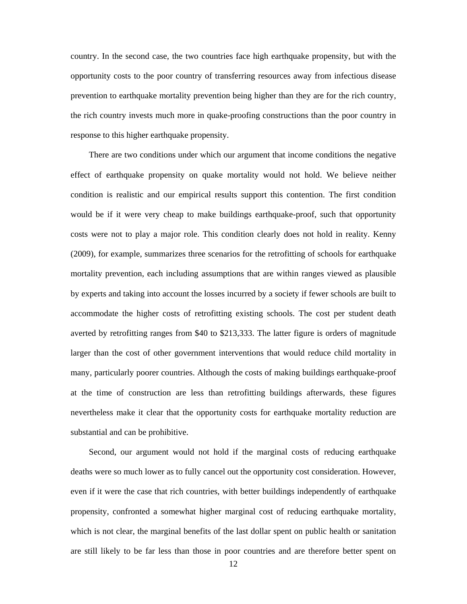country. In the second case, the two countries face high earthquake propensity, but with the opportunity costs to the poor country of transferring resources away from infectious disease prevention to earthquake mortality prevention being higher than they are for the rich country, the rich country invests much more in quake-proofing constructions than the poor country in response to this higher earthquake propensity.

There are two conditions under which our argument that income conditions the negative effect of earthquake propensity on quake mortality would not hold. We believe neither condition is realistic and our empirical results support this contention. The first condition would be if it were very cheap to make buildings earthquake-proof, such that opportunity costs were not to play a major role. This condition clearly does not hold in reality. Kenny (2009), for example, summarizes three scenarios for the retrofitting of schools for earthquake mortality prevention, each including assumptions that are within ranges viewed as plausible by experts and taking into account the losses incurred by a society if fewer schools are built to accommodate the higher costs of retrofitting existing schools. The cost per student death averted by retrofitting ranges from \$40 to \$213,333. The latter figure is orders of magnitude larger than the cost of other government interventions that would reduce child mortality in many, particularly poorer countries. Although the costs of making buildings earthquake-proof at the time of construction are less than retrofitting buildings afterwards, these figures nevertheless make it clear that the opportunity costs for earthquake mortality reduction are substantial and can be prohibitive.

Second, our argument would not hold if the marginal costs of reducing earthquake deaths were so much lower as to fully cancel out the opportunity cost consideration. However, even if it were the case that rich countries, with better buildings independently of earthquake propensity, confronted a somewhat higher marginal cost of reducing earthquake mortality, which is not clear, the marginal benefits of the last dollar spent on public health or sanitation are still likely to be far less than those in poor countries and are therefore better spent on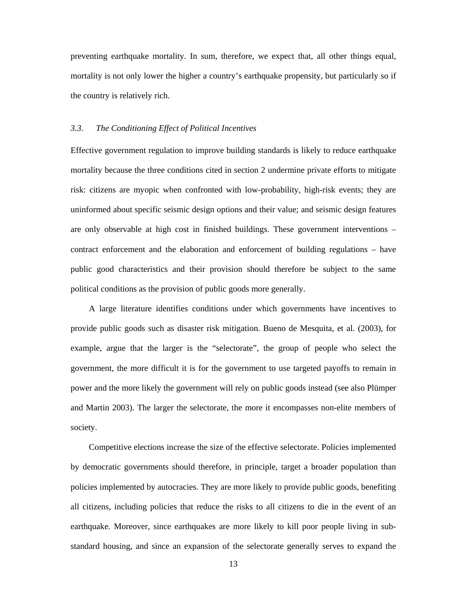preventing earthquake mortality. In sum, therefore, we expect that, all other things equal, mortality is not only lower the higher a country's earthquake propensity, but particularly so if the country is relatively rich.

#### *3.3. The Conditioning Effect of Political Incentives*

Effective government regulation to improve building standards is likely to reduce earthquake mortality because the three conditions cited in section 2 undermine private efforts to mitigate risk: citizens are myopic when confronted with low-probability, high-risk events; they are uninformed about specific seismic design options and their value; and seismic design features are only observable at high cost in finished buildings. These government interventions – contract enforcement and the elaboration and enforcement of building regulations – have public good characteristics and their provision should therefore be subject to the same political conditions as the provision of public goods more generally.

A large literature identifies conditions under which governments have incentives to provide public goods such as disaster risk mitigation. Bueno de Mesquita, et al. (2003), for example, argue that the larger is the "selectorate", the group of people who select the government, the more difficult it is for the government to use targeted payoffs to remain in power and the more likely the government will rely on public goods instead (see also Plümper and Martin 2003). The larger the selectorate, the more it encompasses non-elite members of society.

Competitive elections increase the size of the effective selectorate. Policies implemented by democratic governments should therefore, in principle, target a broader population than policies implemented by autocracies. They are more likely to provide public goods, benefiting all citizens, including policies that reduce the risks to all citizens to die in the event of an earthquake. Moreover, since earthquakes are more likely to kill poor people living in substandard housing, and since an expansion of the selectorate generally serves to expand the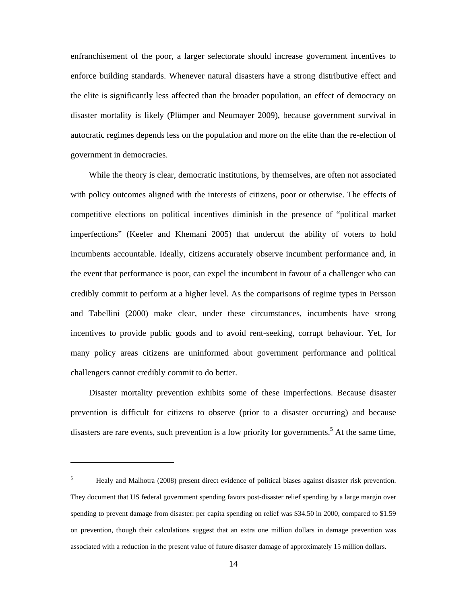enfranchisement of the poor, a larger selectorate should increase government incentives to enforce building standards. Whenever natural disasters have a strong distributive effect and the elite is significantly less affected than the broader population, an effect of democracy on disaster mortality is likely (Plümper and Neumayer 2009), because government survival in autocratic regimes depends less on the population and more on the elite than the re-election of government in democracies.

While the theory is clear, democratic institutions, by themselves, are often not associated with policy outcomes aligned with the interests of citizens, poor or otherwise. The effects of competitive elections on political incentives diminish in the presence of "political market imperfections" (Keefer and Khemani 2005) that undercut the ability of voters to hold incumbents accountable. Ideally, citizens accurately observe incumbent performance and, in the event that performance is poor, can expel the incumbent in favour of a challenger who can credibly commit to perform at a higher level. As the comparisons of regime types in Persson and Tabellini (2000) make clear, under these circumstances, incumbents have strong incentives to provide public goods and to avoid rent-seeking, corrupt behaviour. Yet, for many policy areas citizens are uninformed about government performance and political challengers cannot credibly commit to do better.

Disaster mortality prevention exhibits some of these imperfections. Because disaster prevention is difficult for citizens to observe (prior to a disaster occurring) and because disasters are rare events, such prevention is a low priority for governments.<sup>5</sup> At the same time,

 $\overline{a}$ 

<sup>5</sup> Healy and Malhotra (2008) present direct evidence of political biases against disaster risk prevention. They document that US federal government spending favors post-disaster relief spending by a large margin over spending to prevent damage from disaster: per capita spending on relief was \$34.50 in 2000, compared to \$1.59 on prevention, though their calculations suggest that an extra one million dollars in damage prevention was associated with a reduction in the present value of future disaster damage of approximately 15 million dollars.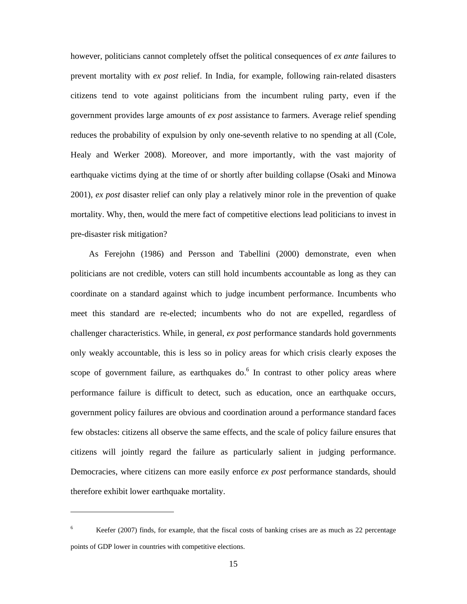however, politicians cannot completely offset the political consequences of *ex ante* failures to prevent mortality with *ex post* relief. In India, for example, following rain-related disasters citizens tend to vote against politicians from the incumbent ruling party, even if the government provides large amounts of *ex post* assistance to farmers. Average relief spending reduces the probability of expulsion by only one-seventh relative to no spending at all (Cole, Healy and Werker 2008). Moreover, and more importantly, with the vast majority of earthquake victims dying at the time of or shortly after building collapse (Osaki and Minowa 2001), *ex post* disaster relief can only play a relatively minor role in the prevention of quake mortality. Why, then, would the mere fact of competitive elections lead politicians to invest in pre-disaster risk mitigation?

As Ferejohn (1986) and Persson and Tabellini (2000) demonstrate, even when politicians are not credible, voters can still hold incumbents accountable as long as they can coordinate on a standard against which to judge incumbent performance. Incumbents who meet this standard are re-elected; incumbents who do not are expelled, regardless of challenger characteristics. While, in general, *ex post* performance standards hold governments only weakly accountable, this is less so in policy areas for which crisis clearly exposes the scope of government failure, as earthquakes do. $6$  In contrast to other policy areas where performance failure is difficult to detect, such as education, once an earthquake occurs, government policy failures are obvious and coordination around a performance standard faces few obstacles: citizens all observe the same effects, and the scale of policy failure ensures that citizens will jointly regard the failure as particularly salient in judging performance. Democracies, where citizens can more easily enforce *ex post* performance standards, should therefore exhibit lower earthquake mortality.

 $\overline{a}$ 

<sup>6</sup> Keefer (2007) finds, for example, that the fiscal costs of banking crises are as much as 22 percentage points of GDP lower in countries with competitive elections.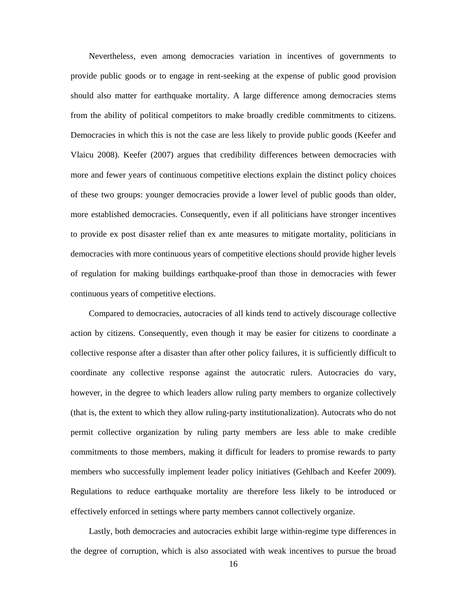Nevertheless, even among democracies variation in incentives of governments to provide public goods or to engage in rent-seeking at the expense of public good provision should also matter for earthquake mortality. A large difference among democracies stems from the ability of political competitors to make broadly credible commitments to citizens. Democracies in which this is not the case are less likely to provide public goods (Keefer and Vlaicu 2008). Keefer (2007) argues that credibility differences between democracies with more and fewer years of continuous competitive elections explain the distinct policy choices of these two groups: younger democracies provide a lower level of public goods than older, more established democracies. Consequently, even if all politicians have stronger incentives to provide ex post disaster relief than ex ante measures to mitigate mortality, politicians in democracies with more continuous years of competitive elections should provide higher levels of regulation for making buildings earthquake-proof than those in democracies with fewer continuous years of competitive elections.

Compared to democracies, autocracies of all kinds tend to actively discourage collective action by citizens. Consequently, even though it may be easier for citizens to coordinate a collective response after a disaster than after other policy failures, it is sufficiently difficult to coordinate any collective response against the autocratic rulers. Autocracies do vary, however, in the degree to which leaders allow ruling party members to organize collectively (that is, the extent to which they allow ruling-party institutionalization). Autocrats who do not permit collective organization by ruling party members are less able to make credible commitments to those members, making it difficult for leaders to promise rewards to party members who successfully implement leader policy initiatives (Gehlbach and Keefer 2009). Regulations to reduce earthquake mortality are therefore less likely to be introduced or effectively enforced in settings where party members cannot collectively organize.

Lastly, both democracies and autocracies exhibit large within-regime type differences in the degree of corruption, which is also associated with weak incentives to pursue the broad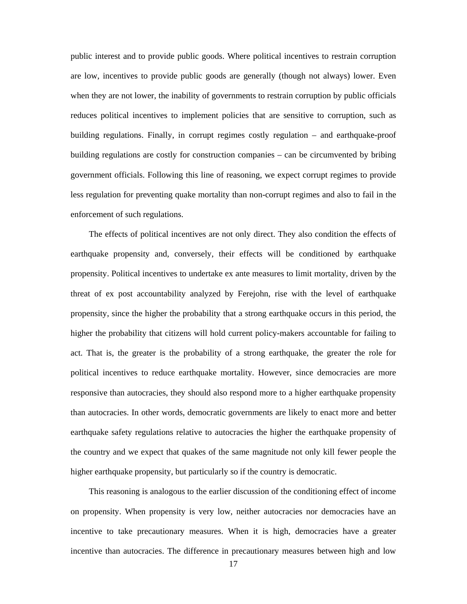public interest and to provide public goods. Where political incentives to restrain corruption are low, incentives to provide public goods are generally (though not always) lower. Even when they are not lower, the inability of governments to restrain corruption by public officials reduces political incentives to implement policies that are sensitive to corruption, such as building regulations. Finally, in corrupt regimes costly regulation – and earthquake-proof building regulations are costly for construction companies – can be circumvented by bribing government officials. Following this line of reasoning, we expect corrupt regimes to provide less regulation for preventing quake mortality than non-corrupt regimes and also to fail in the enforcement of such regulations.

The effects of political incentives are not only direct. They also condition the effects of earthquake propensity and, conversely, their effects will be conditioned by earthquake propensity. Political incentives to undertake ex ante measures to limit mortality, driven by the threat of ex post accountability analyzed by Ferejohn, rise with the level of earthquake propensity, since the higher the probability that a strong earthquake occurs in this period, the higher the probability that citizens will hold current policy-makers accountable for failing to act. That is, the greater is the probability of a strong earthquake, the greater the role for political incentives to reduce earthquake mortality. However, since democracies are more responsive than autocracies, they should also respond more to a higher earthquake propensity than autocracies. In other words, democratic governments are likely to enact more and better earthquake safety regulations relative to autocracies the higher the earthquake propensity of the country and we expect that quakes of the same magnitude not only kill fewer people the higher earthquake propensity, but particularly so if the country is democratic.

This reasoning is analogous to the earlier discussion of the conditioning effect of income on propensity. When propensity is very low, neither autocracies nor democracies have an incentive to take precautionary measures. When it is high, democracies have a greater incentive than autocracies. The difference in precautionary measures between high and low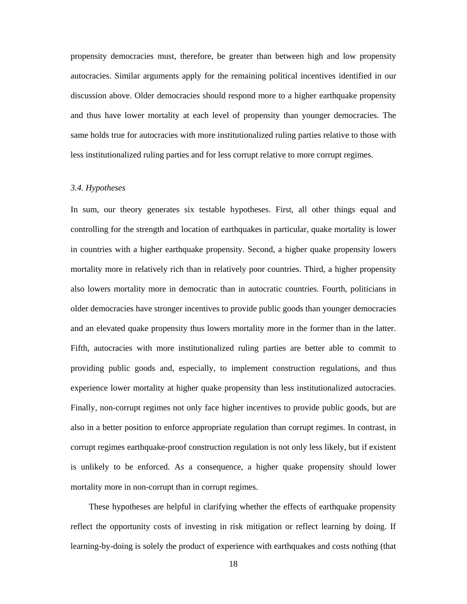propensity democracies must, therefore, be greater than between high and low propensity autocracies. Similar arguments apply for the remaining political incentives identified in our discussion above. Older democracies should respond more to a higher earthquake propensity and thus have lower mortality at each level of propensity than younger democracies. The same holds true for autocracies with more institutionalized ruling parties relative to those with less institutionalized ruling parties and for less corrupt relative to more corrupt regimes.

#### *3.4. Hypotheses*

In sum, our theory generates six testable hypotheses. First, all other things equal and controlling for the strength and location of earthquakes in particular, quake mortality is lower in countries with a higher earthquake propensity. Second, a higher quake propensity lowers mortality more in relatively rich than in relatively poor countries. Third, a higher propensity also lowers mortality more in democratic than in autocratic countries. Fourth, politicians in older democracies have stronger incentives to provide public goods than younger democracies and an elevated quake propensity thus lowers mortality more in the former than in the latter. Fifth, autocracies with more institutionalized ruling parties are better able to commit to providing public goods and, especially, to implement construction regulations, and thus experience lower mortality at higher quake propensity than less institutionalized autocracies. Finally, non-corrupt regimes not only face higher incentives to provide public goods, but are also in a better position to enforce appropriate regulation than corrupt regimes. In contrast, in corrupt regimes earthquake-proof construction regulation is not only less likely, but if existent is unlikely to be enforced. As a consequence, a higher quake propensity should lower mortality more in non-corrupt than in corrupt regimes.

These hypotheses are helpful in clarifying whether the effects of earthquake propensity reflect the opportunity costs of investing in risk mitigation or reflect learning by doing. If learning-by-doing is solely the product of experience with earthquakes and costs nothing (that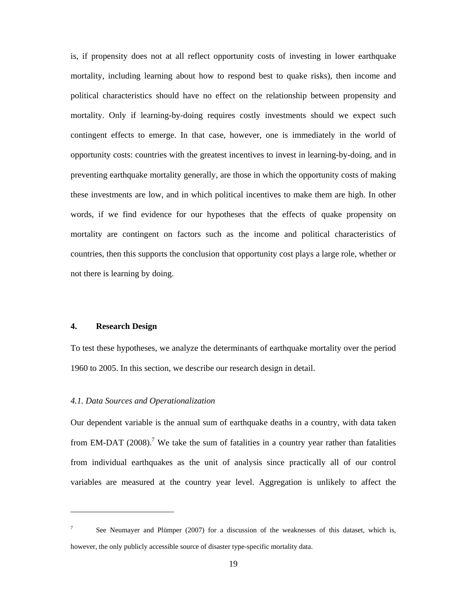is, if propensity does not at all reflect opportunity costs of investing in lower earthquake mortality, including learning about how to respond best to quake risks), then income and political characteristics should have no effect on the relationship between propensity and mortality. Only if learning-by-doing requires costly investments should we expect such contingent effects to emerge. In that case, however, one is immediately in the world of opportunity costs: countries with the greatest incentives to invest in learning-by-doing, and in preventing earthquake mortality generally, are those in which the opportunity costs of making these investments are low, and in which political incentives to make them are high. In other words, if we find evidence for our hypotheses that the effects of quake propensity on mortality are contingent on factors such as the income and political characteristics of countries, then this supports the conclusion that opportunity cost plays a large role, whether or not there is learning by doing.

#### **4. Research Design**

 $\overline{a}$ 

To test these hypotheses, we analyze the determinants of earthquake mortality over the period 1960 to 2005. In this section, we describe our research design in detail.

#### *4.1. Data Sources and Operationalization*

Our dependent variable is the annual sum of earthquake deaths in a country, with data taken from EM-DAT (2008).<sup>7</sup> We take the sum of fatalities in a country year rather than fatalities from individual earthquakes as the unit of analysis since practically all of our control variables are measured at the country year level. Aggregation is unlikely to affect the

<sup>7</sup> See Neumayer and Plümper (2007) for a discussion of the weaknesses of this dataset, which is, however, the only publicly accessible source of disaster type-specific mortality data.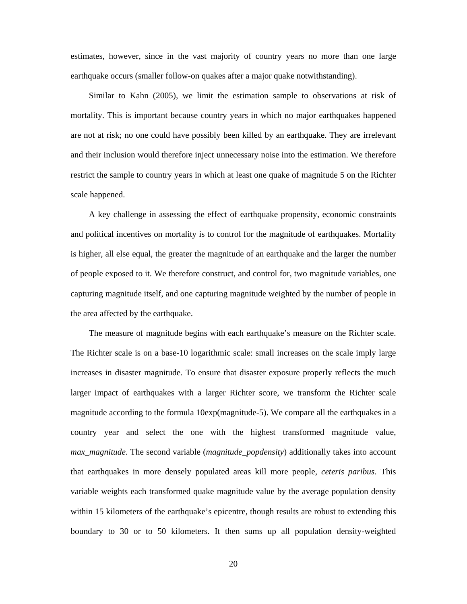estimates, however, since in the vast majority of country years no more than one large earthquake occurs (smaller follow-on quakes after a major quake notwithstanding).

Similar to Kahn (2005), we limit the estimation sample to observations at risk of mortality. This is important because country years in which no major earthquakes happened are not at risk; no one could have possibly been killed by an earthquake. They are irrelevant and their inclusion would therefore inject unnecessary noise into the estimation. We therefore restrict the sample to country years in which at least one quake of magnitude 5 on the Richter scale happened.

A key challenge in assessing the effect of earthquake propensity, economic constraints and political incentives on mortality is to control for the magnitude of earthquakes. Mortality is higher, all else equal, the greater the magnitude of an earthquake and the larger the number of people exposed to it. We therefore construct, and control for, two magnitude variables, one capturing magnitude itself, and one capturing magnitude weighted by the number of people in the area affected by the earthquake.

The measure of magnitude begins with each earthquake's measure on the Richter scale. The Richter scale is on a base-10 logarithmic scale: small increases on the scale imply large increases in disaster magnitude. To ensure that disaster exposure properly reflects the much larger impact of earthquakes with a larger Richter score, we transform the Richter scale magnitude according to the formula 10exp(magnitude-5). We compare all the earthquakes in a country year and select the one with the highest transformed magnitude value, *max\_magnitude*. The second variable (*magnitude\_popdensity*) additionally takes into account that earthquakes in more densely populated areas kill more people, *ceteris paribus*. This variable weights each transformed quake magnitude value by the average population density within 15 kilometers of the earthquake's epicentre, though results are robust to extending this boundary to 30 or to 50 kilometers. It then sums up all population density-weighted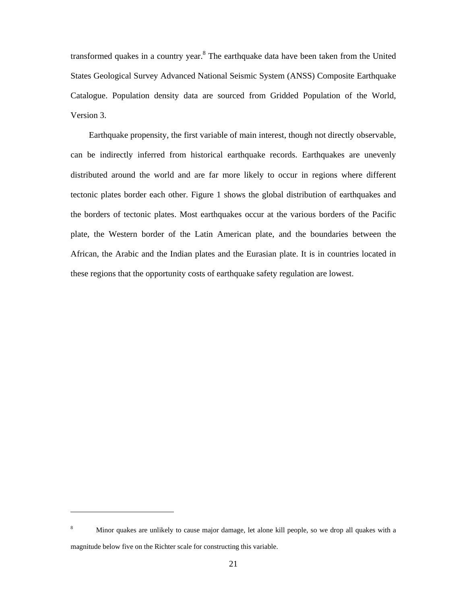transformed quakes in a country year.<sup>8</sup> The earthquake data have been taken from the United States Geological Survey Advanced National Seismic System (ANSS) Composite Earthquake Catalogue. Population density data are sourced from Gridded Population of the World, Version 3.

Earthquake propensity, the first variable of main interest, though not directly observable, can be indirectly inferred from historical earthquake records. Earthquakes are unevenly distributed around the world and are far more likely to occur in regions where different tectonic plates border each other. Figure 1 shows the global distribution of earthquakes and the borders of tectonic plates. Most earthquakes occur at the various borders of the Pacific plate, the Western border of the Latin American plate, and the boundaries between the African, the Arabic and the Indian plates and the Eurasian plate. It is in countries located in these regions that the opportunity costs of earthquake safety regulation are lowest.

 $\overline{a}$ 

<sup>8</sup> Minor quakes are unlikely to cause major damage, let alone kill people, so we drop all quakes with a magnitude below five on the Richter scale for constructing this variable.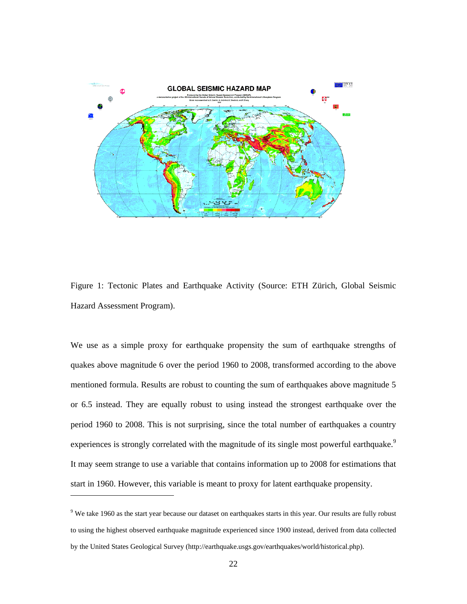

Figure 1: Tectonic Plates and Earthquake Activity (Source: ETH Zürich, Global Seismic Hazard Assessment Program).

We use as a simple proxy for earthquake propensity the sum of earthquake strengths of quakes above magnitude 6 over the period 1960 to 2008, transformed according to the above mentioned formula. Results are robust to counting the sum of earthquakes above magnitude 5 or 6.5 instead. They are equally robust to using instead the strongest earthquake over the period 1960 to 2008. This is not surprising, since the total number of earthquakes a country experiences is strongly correlated with the magnitude of its single most powerful earthquake.<sup>9</sup> It may seem strange to use a variable that contains information up to 2008 for estimations that start in 1960. However, this variable is meant to proxy for latent earthquake propensity.

 $\overline{\phantom{a}}$ 

<sup>&</sup>lt;sup>9</sup> We take 1960 as the start year because our dataset on earthquakes starts in this year. Our results are fully robust to using the highest observed earthquake magnitude experienced since 1900 instead, derived from data collected by the United States Geological Survey (http://earthquake.usgs.gov/earthquakes/world/historical.php).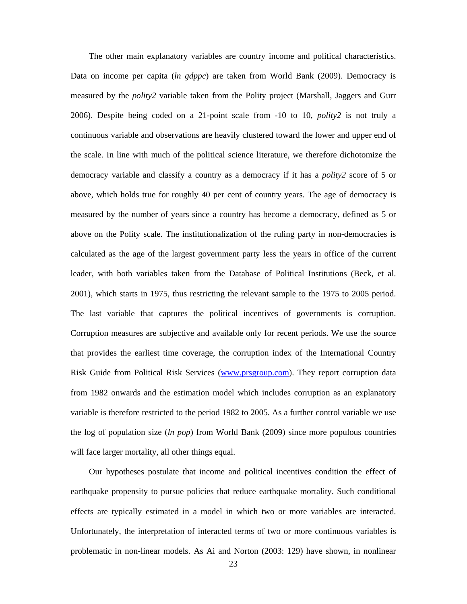The other main explanatory variables are country income and political characteristics. Data on income per capita (*ln gdppc*) are taken from World Bank (2009). Democracy is measured by the *polity2* variable taken from the Polity project (Marshall, Jaggers and Gurr 2006). Despite being coded on a 21-point scale from -10 to 10, *polity2* is not truly a continuous variable and observations are heavily clustered toward the lower and upper end of the scale. In line with much of the political science literature, we therefore dichotomize the democracy variable and classify a country as a democracy if it has a *polity2* score of 5 or above, which holds true for roughly 40 per cent of country years. The age of democracy is measured by the number of years since a country has become a democracy, defined as 5 or above on the Polity scale. The institutionalization of the ruling party in non-democracies is calculated as the age of the largest government party less the years in office of the current leader, with both variables taken from the Database of Political Institutions (Beck, et al. 2001), which starts in 1975, thus restricting the relevant sample to the 1975 to 2005 period. The last variable that captures the political incentives of governments is corruption. Corruption measures are subjective and available only for recent periods. We use the source that provides the earliest time coverage, the corruption index of the International Country Risk Guide from Political Risk Services (www.prsgroup.com). They report corruption data from 1982 onwards and the estimation model which includes corruption as an explanatory variable is therefore restricted to the period 1982 to 2005. As a further control variable we use the log of population size (*ln pop*) from World Bank (2009) since more populous countries will face larger mortality, all other things equal.

Our hypotheses postulate that income and political incentives condition the effect of earthquake propensity to pursue policies that reduce earthquake mortality. Such conditional effects are typically estimated in a model in which two or more variables are interacted. Unfortunately, the interpretation of interacted terms of two or more continuous variables is problematic in non-linear models. As Ai and Norton (2003: 129) have shown, in nonlinear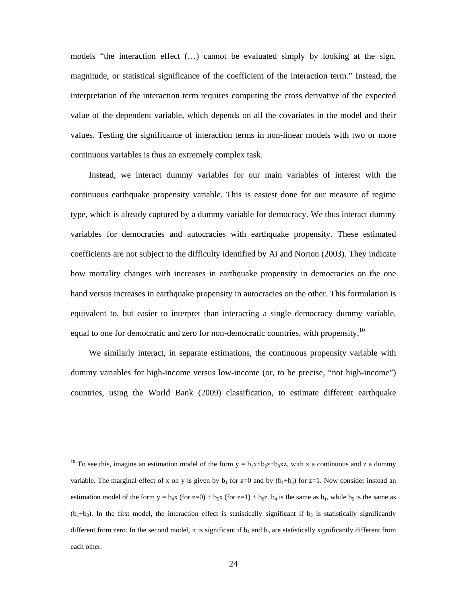models "the interaction effect (…) cannot be evaluated simply by looking at the sign, magnitude, or statistical significance of the coefficient of the interaction term." Instead, the interpretation of the interaction term requires computing the cross derivative of the expected value of the dependent variable, which depends on all the covariates in the model and their values. Testing the significance of interaction terms in non-linear models with two or more continuous variables is thus an extremely complex task.

Instead, we interact dummy variables for our main variables of interest with the continuous earthquake propensity variable. This is easiest done for our measure of regime type, which is already captured by a dummy variable for democracy. We thus interact dummy variables for democracies and autocracies with earthquake propensity. These estimated coefficients are not subject to the difficulty identified by Ai and Norton (2003). They indicate how mortality changes with increases in earthquake propensity in democracies on the one hand versus increases in earthquake propensity in autocracies on the other. This formulation is equivalent to, but easier to interpret than interacting a single democracy dummy variable, equal to one for democratic and zero for non-democratic countries, with propensity.<sup>10</sup>

We similarly interact, in separate estimations, the continuous propensity variable with dummy variables for high-income versus low-income (or, to be precise, "not high-income") countries, using the World Bank (2009) classification, to estimate different earthquake

 $\overline{\phantom{a}}$ 

<sup>&</sup>lt;sup>10</sup> To see this, imagine an estimation model of the form  $y = b_1x+b_2z+b_3xz$ , with x a continuous and z a dummy variable. The marginal effect of x on y is given by  $b_1$  for  $z=0$  and by  $(b_1+b_3)$  for  $z=1$ . Now consider instead an estimation model of the form  $y = b_4x$  (for z=0) +  $b_5x$  (for z=1) +  $b_6z$ .  $b_4$  is the same as  $b_1$ , while  $b_5$  is the same as  $(b_1+b_3)$ . In the first model, the interaction effect is statistically significant if  $b_3$  is statistically significantly different from zero. In the second model, it is significant if  $b_4$  and  $b_5$  are statistically significantly different from each other.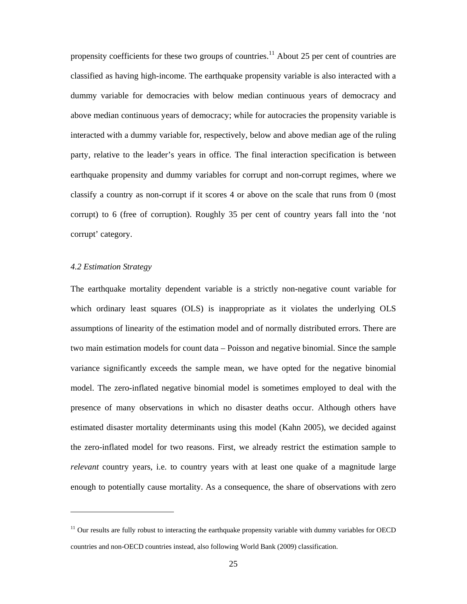propensity coefficients for these two groups of countries.<sup>11</sup> About 25 per cent of countries are classified as having high-income. The earthquake propensity variable is also interacted with a dummy variable for democracies with below median continuous years of democracy and above median continuous years of democracy; while for autocracies the propensity variable is interacted with a dummy variable for, respectively, below and above median age of the ruling party, relative to the leader's years in office. The final interaction specification is between earthquake propensity and dummy variables for corrupt and non-corrupt regimes, where we classify a country as non-corrupt if it scores 4 or above on the scale that runs from 0 (most corrupt) to 6 (free of corruption). Roughly 35 per cent of country years fall into the 'not corrupt' category.

#### *4.2 Estimation Strategy*

 $\overline{a}$ 

The earthquake mortality dependent variable is a strictly non-negative count variable for which ordinary least squares (OLS) is inappropriate as it violates the underlying OLS assumptions of linearity of the estimation model and of normally distributed errors. There are two main estimation models for count data – Poisson and negative binomial. Since the sample variance significantly exceeds the sample mean, we have opted for the negative binomial model. The zero-inflated negative binomial model is sometimes employed to deal with the presence of many observations in which no disaster deaths occur. Although others have estimated disaster mortality determinants using this model (Kahn 2005), we decided against the zero-inflated model for two reasons. First, we already restrict the estimation sample to *relevant* country years, i.e. to country years with at least one quake of a magnitude large enough to potentially cause mortality. As a consequence, the share of observations with zero

 $11$  Our results are fully robust to interacting the earthquake propensity variable with dummy variables for OECD countries and non-OECD countries instead, also following World Bank (2009) classification.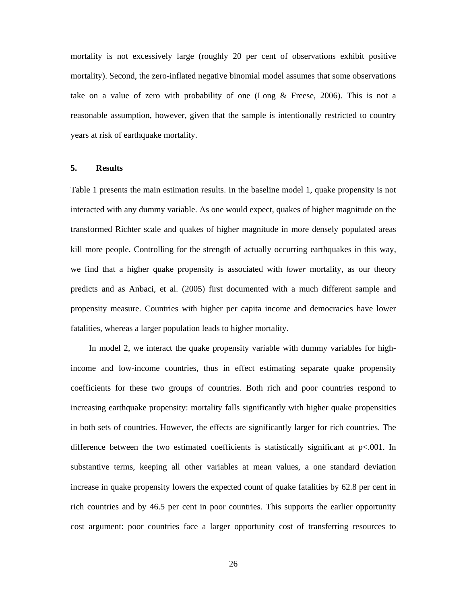mortality is not excessively large (roughly 20 per cent of observations exhibit positive mortality). Second, the zero-inflated negative binomial model assumes that some observations take on a value of zero with probability of one (Long & Freese, 2006). This is not a reasonable assumption, however, given that the sample is intentionally restricted to country years at risk of earthquake mortality.

#### **5. Results**

Table 1 presents the main estimation results. In the baseline model 1, quake propensity is not interacted with any dummy variable. As one would expect, quakes of higher magnitude on the transformed Richter scale and quakes of higher magnitude in more densely populated areas kill more people. Controlling for the strength of actually occurring earthquakes in this way, we find that a higher quake propensity is associated with *lower* mortality, as our theory predicts and as Anbaci, et al. (2005) first documented with a much different sample and propensity measure. Countries with higher per capita income and democracies have lower fatalities, whereas a larger population leads to higher mortality.

In model 2, we interact the quake propensity variable with dummy variables for highincome and low-income countries, thus in effect estimating separate quake propensity coefficients for these two groups of countries. Both rich and poor countries respond to increasing earthquake propensity: mortality falls significantly with higher quake propensities in both sets of countries. However, the effects are significantly larger for rich countries. The difference between the two estimated coefficients is statistically significant at  $p<.001$ . In substantive terms, keeping all other variables at mean values, a one standard deviation increase in quake propensity lowers the expected count of quake fatalities by 62.8 per cent in rich countries and by 46.5 per cent in poor countries. This supports the earlier opportunity cost argument: poor countries face a larger opportunity cost of transferring resources to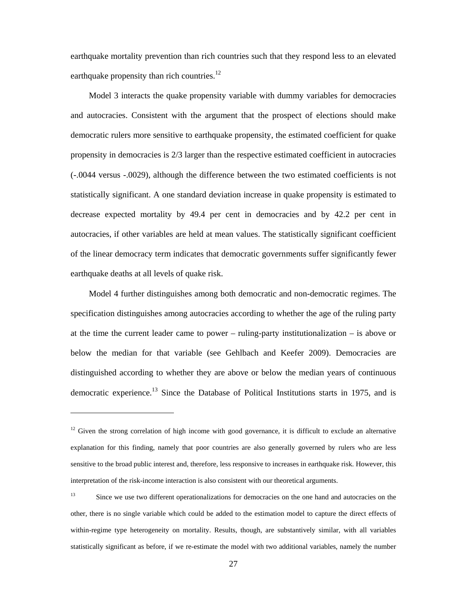earthquake mortality prevention than rich countries such that they respond less to an elevated earthquake propensity than rich countries.<sup>12</sup>

Model 3 interacts the quake propensity variable with dummy variables for democracies and autocracies. Consistent with the argument that the prospect of elections should make democratic rulers more sensitive to earthquake propensity, the estimated coefficient for quake propensity in democracies is 2/3 larger than the respective estimated coefficient in autocracies (-.0044 versus -.0029), although the difference between the two estimated coefficients is not statistically significant. A one standard deviation increase in quake propensity is estimated to decrease expected mortality by 49.4 per cent in democracies and by 42.2 per cent in autocracies, if other variables are held at mean values. The statistically significant coefficient of the linear democracy term indicates that democratic governments suffer significantly fewer earthquake deaths at all levels of quake risk.

Model 4 further distinguishes among both democratic and non-democratic regimes. The specification distinguishes among autocracies according to whether the age of the ruling party at the time the current leader came to power – ruling-party institutionalization – is above or below the median for that variable (see Gehlbach and Keefer 2009). Democracies are distinguished according to whether they are above or below the median years of continuous democratic experience.<sup>13</sup> Since the Database of Political Institutions starts in 1975, and is

 $12$  Given the strong correlation of high income with good governance, it is difficult to exclude an alternative explanation for this finding, namely that poor countries are also generally governed by rulers who are less sensitive to the broad public interest and, therefore, less responsive to increases in earthquake risk. However, this interpretation of the risk-income interaction is also consistent with our theoretical arguments.

<sup>&</sup>lt;sup>13</sup> Since we use two different operationalizations for democracies on the one hand and autocracies on the other, there is no single variable which could be added to the estimation model to capture the direct effects of within-regime type heterogeneity on mortality. Results, though, are substantively similar, with all variables statistically significant as before, if we re-estimate the model with two additional variables, namely the number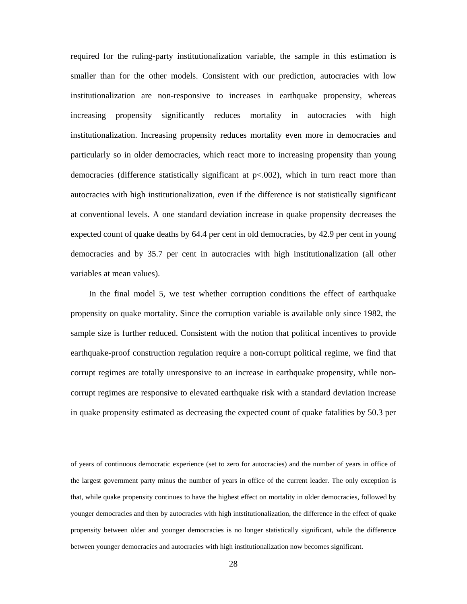required for the ruling-party institutionalization variable, the sample in this estimation is smaller than for the other models. Consistent with our prediction, autocracies with low institutionalization are non-responsive to increases in earthquake propensity, whereas increasing propensity significantly reduces mortality in autocracies with high institutionalization. Increasing propensity reduces mortality even more in democracies and particularly so in older democracies, which react more to increasing propensity than young democracies (difference statistically significant at p<.002), which in turn react more than autocracies with high institutionalization, even if the difference is not statistically significant at conventional levels. A one standard deviation increase in quake propensity decreases the expected count of quake deaths by 64.4 per cent in old democracies, by 42.9 per cent in young democracies and by 35.7 per cent in autocracies with high institutionalization (all other variables at mean values).

In the final model 5, we test whether corruption conditions the effect of earthquake propensity on quake mortality. Since the corruption variable is available only since 1982, the sample size is further reduced. Consistent with the notion that political incentives to provide earthquake-proof construction regulation require a non-corrupt political regime, we find that corrupt regimes are totally unresponsive to an increase in earthquake propensity, while noncorrupt regimes are responsive to elevated earthquake risk with a standard deviation increase in quake propensity estimated as decreasing the expected count of quake fatalities by 50.3 per

of years of continuous democratic experience (set to zero for autocracies) and the number of years in office of the largest government party minus the number of years in office of the current leader. The only exception is that, while quake propensity continues to have the highest effect on mortality in older democracies, followed by younger democracies and then by autocracies with high intstitutionalization, the difference in the effect of quake propensity between older and younger democracies is no longer statistically significant, while the difference between younger democracies and autocracies with high institutionalization now becomes significant.

 $\overline{\phantom{a}}$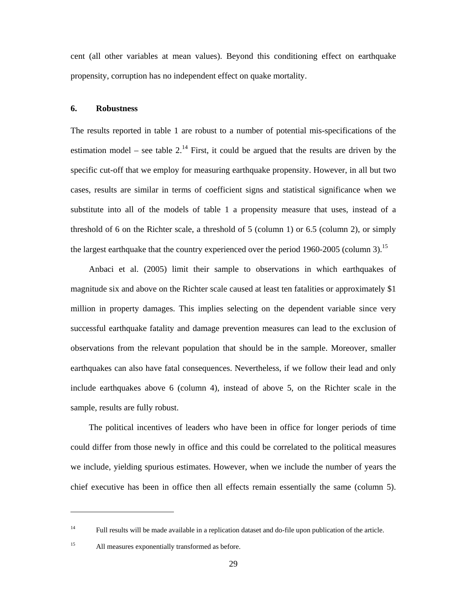cent (all other variables at mean values). Beyond this conditioning effect on earthquake propensity, corruption has no independent effect on quake mortality.

#### **6. Robustness**

The results reported in table 1 are robust to a number of potential mis-specifications of the estimation model – see table  $2<sup>14</sup>$  First, it could be argued that the results are driven by the specific cut-off that we employ for measuring earthquake propensity. However, in all but two cases, results are similar in terms of coefficient signs and statistical significance when we substitute into all of the models of table 1 a propensity measure that uses, instead of a threshold of 6 on the Richter scale, a threshold of 5 (column 1) or 6.5 (column 2), or simply the largest earthquake that the country experienced over the period 1960-2005 (column 3).<sup>15</sup>

Anbaci et al. (2005) limit their sample to observations in which earthquakes of magnitude six and above on the Richter scale caused at least ten fatalities or approximately \$1 million in property damages. This implies selecting on the dependent variable since very successful earthquake fatality and damage prevention measures can lead to the exclusion of observations from the relevant population that should be in the sample. Moreover, smaller earthquakes can also have fatal consequences. Nevertheless, if we follow their lead and only include earthquakes above 6 (column 4), instead of above 5, on the Richter scale in the sample, results are fully robust.

The political incentives of leaders who have been in office for longer periods of time could differ from those newly in office and this could be correlated to the political measures we include, yielding spurious estimates. However, when we include the number of years the chief executive has been in office then all effects remain essentially the same (column 5).

 $\overline{a}$ 

<sup>&</sup>lt;sup>14</sup> Full results will be made available in a replication dataset and do-file upon publication of the article.

<sup>15</sup> All measures exponentially transformed as before.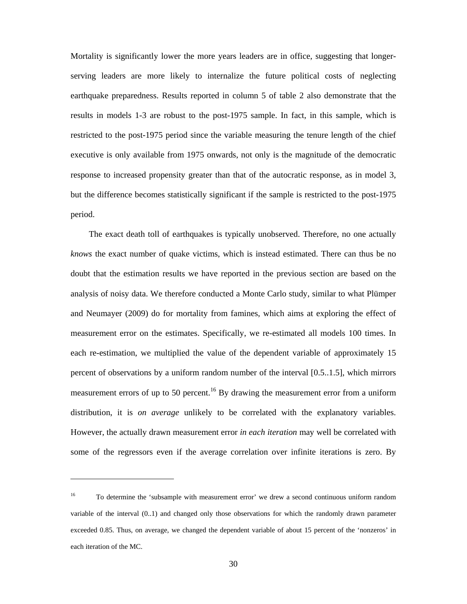Mortality is significantly lower the more years leaders are in office, suggesting that longerserving leaders are more likely to internalize the future political costs of neglecting earthquake preparedness. Results reported in column 5 of table 2 also demonstrate that the results in models 1-3 are robust to the post-1975 sample. In fact, in this sample, which is restricted to the post-1975 period since the variable measuring the tenure length of the chief executive is only available from 1975 onwards, not only is the magnitude of the democratic response to increased propensity greater than that of the autocratic response, as in model 3, but the difference becomes statistically significant if the sample is restricted to the post-1975 period.

The exact death toll of earthquakes is typically unobserved. Therefore, no one actually *knows* the exact number of quake victims, which is instead estimated. There can thus be no doubt that the estimation results we have reported in the previous section are based on the analysis of noisy data. We therefore conducted a Monte Carlo study, similar to what Plümper and Neumayer (2009) do for mortality from famines, which aims at exploring the effect of measurement error on the estimates. Specifically, we re-estimated all models 100 times. In each re-estimation, we multiplied the value of the dependent variable of approximately 15 percent of observations by a uniform random number of the interval [0.5..1.5], which mirrors measurement errors of up to 50 percent.<sup>16</sup> By drawing the measurement error from a uniform distribution, it is *on average* unlikely to be correlated with the explanatory variables. However, the actually drawn measurement error *in each iteration* may well be correlated with some of the regressors even if the average correlation over infinite iterations is zero. By

 $\overline{\phantom{a}}$ 

<sup>&</sup>lt;sup>16</sup> To determine the 'subsample with measurement error' we drew a second continuous uniform random variable of the interval (0..1) and changed only those observations for which the randomly drawn parameter exceeded 0.85. Thus, on average, we changed the dependent variable of about 15 percent of the 'nonzeros' in each iteration of the MC.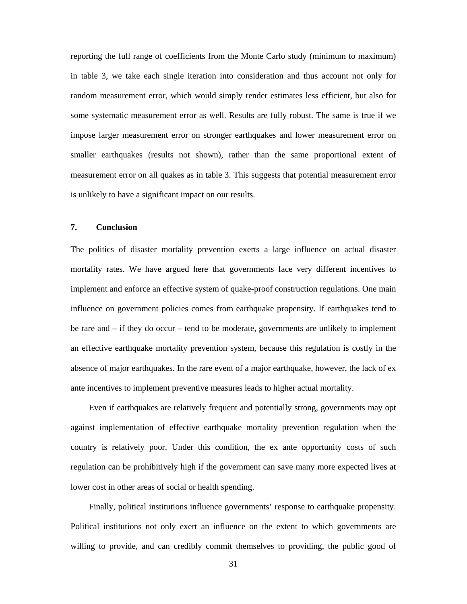reporting the full range of coefficients from the Monte Carlo study (minimum to maximum) in table 3, we take each single iteration into consideration and thus account not only for random measurement error, which would simply render estimates less efficient, but also for some systematic measurement error as well. Results are fully robust. The same is true if we impose larger measurement error on stronger earthquakes and lower measurement error on smaller earthquakes (results not shown), rather than the same proportional extent of measurement error on all quakes as in table 3. This suggests that potential measurement error is unlikely to have a significant impact on our results.

#### **7. Conclusion**

The politics of disaster mortality prevention exerts a large influence on actual disaster mortality rates. We have argued here that governments face very different incentives to implement and enforce an effective system of quake-proof construction regulations. One main influence on government policies comes from earthquake propensity. If earthquakes tend to be rare and – if they do occur – tend to be moderate, governments are unlikely to implement an effective earthquake mortality prevention system, because this regulation is costly in the absence of major earthquakes. In the rare event of a major earthquake, however, the lack of ex ante incentives to implement preventive measures leads to higher actual mortality.

Even if earthquakes are relatively frequent and potentially strong, governments may opt against implementation of effective earthquake mortality prevention regulation when the country is relatively poor. Under this condition, the ex ante opportunity costs of such regulation can be prohibitively high if the government can save many more expected lives at lower cost in other areas of social or health spending.

Finally, political institutions influence governments' response to earthquake propensity. Political institutions not only exert an influence on the extent to which governments are willing to provide, and can credibly commit themselves to providing, the public good of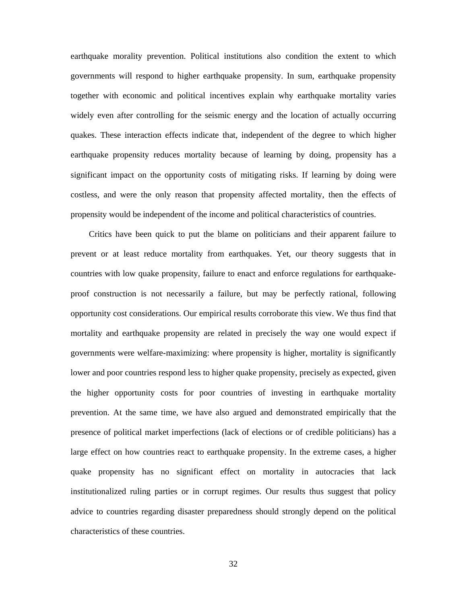earthquake morality prevention. Political institutions also condition the extent to which governments will respond to higher earthquake propensity. In sum, earthquake propensity together with economic and political incentives explain why earthquake mortality varies widely even after controlling for the seismic energy and the location of actually occurring quakes. These interaction effects indicate that, independent of the degree to which higher earthquake propensity reduces mortality because of learning by doing, propensity has a significant impact on the opportunity costs of mitigating risks. If learning by doing were costless, and were the only reason that propensity affected mortality, then the effects of propensity would be independent of the income and political characteristics of countries.

Critics have been quick to put the blame on politicians and their apparent failure to prevent or at least reduce mortality from earthquakes. Yet, our theory suggests that in countries with low quake propensity, failure to enact and enforce regulations for earthquakeproof construction is not necessarily a failure, but may be perfectly rational, following opportunity cost considerations. Our empirical results corroborate this view. We thus find that mortality and earthquake propensity are related in precisely the way one would expect if governments were welfare-maximizing: where propensity is higher, mortality is significantly lower and poor countries respond less to higher quake propensity, precisely as expected, given the higher opportunity costs for poor countries of investing in earthquake mortality prevention. At the same time, we have also argued and demonstrated empirically that the presence of political market imperfections (lack of elections or of credible politicians) has a large effect on how countries react to earthquake propensity. In the extreme cases, a higher quake propensity has no significant effect on mortality in autocracies that lack institutionalized ruling parties or in corrupt regimes. Our results thus suggest that policy advice to countries regarding disaster preparedness should strongly depend on the political characteristics of these countries.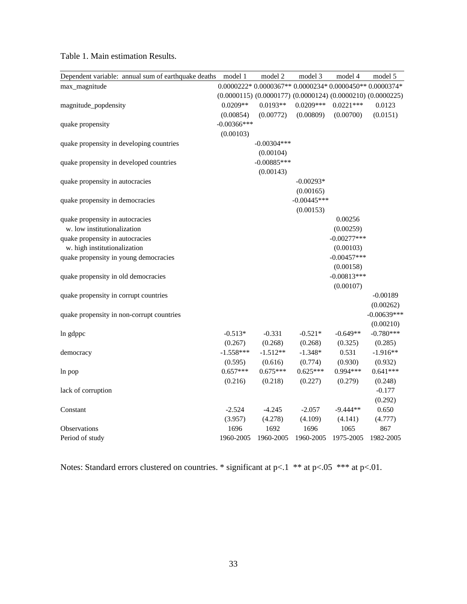| Dependent variable: annual sum of earthquake deaths | model 1        | model 2                                                               | model 3       | model 4       | model 5       |
|-----------------------------------------------------|----------------|-----------------------------------------------------------------------|---------------|---------------|---------------|
| max_magnitude                                       |                | $0.0000222*0.0000367**0.0000234*0.0000450**0.0000374*$                |               |               |               |
|                                                     |                | $(0.0000115)$ $(0.0000177)$ $(0.0000124)$ $(0.0000210)$ $(0.0000225)$ |               |               |               |
| magnitude_popdensity                                | $0.0209**$     | $0.0193**$                                                            | $0.0209***$   | $0.0221***$   | 0.0123        |
|                                                     | (0.00854)      | (0.00772)                                                             | (0.00809)     | (0.00700)     | (0.0151)      |
| quake propensity                                    | $-0.00366$ *** |                                                                       |               |               |               |
|                                                     | (0.00103)      |                                                                       |               |               |               |
| quake propensity in developing countries            |                | $-0.00304***$                                                         |               |               |               |
|                                                     |                | (0.00104)                                                             |               |               |               |
| quake propensity in developed countries             |                | $-0.00885***$                                                         |               |               |               |
|                                                     |                | (0.00143)                                                             |               |               |               |
| quake propensity in autocracies                     |                |                                                                       | $-0.00293*$   |               |               |
|                                                     |                |                                                                       | (0.00165)     |               |               |
| quake propensity in democracies                     |                |                                                                       | $-0.00445***$ |               |               |
|                                                     |                |                                                                       | (0.00153)     |               |               |
| quake propensity in autocracies                     |                |                                                                       |               | 0.00256       |               |
| w. low institutionalization                         |                |                                                                       |               | (0.00259)     |               |
| quake propensity in autocracies                     |                |                                                                       |               | $-0.00277***$ |               |
| w. high institutionalization                        |                |                                                                       |               | (0.00103)     |               |
| quake propensity in young democracies               |                |                                                                       |               | $-0.00457***$ |               |
|                                                     |                |                                                                       |               | (0.00158)     |               |
| quake propensity in old democracies                 |                |                                                                       |               | $-0.00813***$ |               |
|                                                     |                |                                                                       |               | (0.00107)     |               |
| quake propensity in corrupt countries               |                |                                                                       |               |               | $-0.00189$    |
|                                                     |                |                                                                       |               |               | (0.00262)     |
| quake propensity in non-corrupt countries           |                |                                                                       |               |               | $-0.00639***$ |
|                                                     |                |                                                                       |               |               | (0.00210)     |
| In gdppc                                            | $-0.513*$      | $-0.331$                                                              | $-0.521*$     | $-0.649**$    | $-0.780***$   |
|                                                     | (0.267)        | (0.268)                                                               | (0.268)       | (0.325)       | (0.285)       |
| democracy                                           | $-1.558***$    | $-1.512**$                                                            | $-1.348*$     | 0.531         | $-1.916**$    |
|                                                     | (0.595)        | (0.616)                                                               | (0.774)       | (0.930)       | (0.932)       |
| ln pop                                              | $0.657***$     | $0.675***$                                                            | $0.625***$    | $0.994***$    | $0.641***$    |
|                                                     | (0.216)        | (0.218)                                                               | (0.227)       | (0.279)       | (0.248)       |
| lack of corruption                                  |                |                                                                       |               |               | $-0.177$      |
|                                                     |                |                                                                       |               |               | (0.292)       |
| Constant                                            | $-2.524$       | $-4.245$                                                              | $-2.057$      | $-9.444**$    | 0.650         |
|                                                     | (3.957)        | (4.278)                                                               | (4.109)       | (4.141)       | (4.777)       |
| Observations                                        | 1696           | 1692                                                                  | 1696          | 1065          | 867           |
| Period of study                                     | 1960-2005      | 1960-2005                                                             | 1960-2005     | 1975-2005     | 1982-2005     |

#### Table 1. Main estimation Results.

Notes: Standard errors clustered on countries. \* significant at  $p<0.1$  \*\* at  $p<0.05$  \*\*\* at  $p<0.01$ .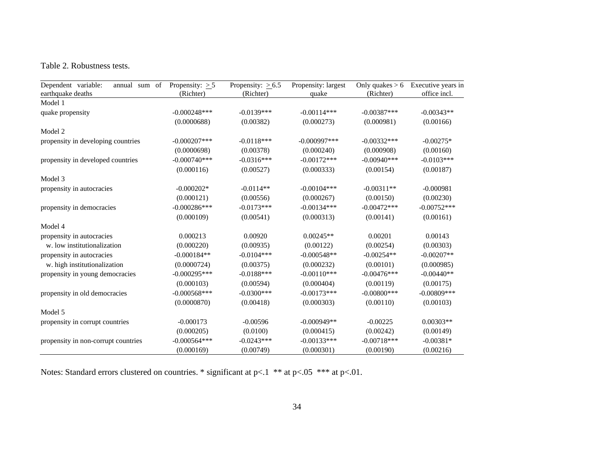#### Table 2. Robustness tests.

| Dependent variable:<br>sum of<br>annual<br>earthquake deaths | Propensity: $\geq 5$<br>(Richter) | Propensity: $\geq 6.5$<br>(Richter) | Propensity: largest<br>quake | Only quakes $> 6$<br>(Richter) | Executive years in<br>office incl. |
|--------------------------------------------------------------|-----------------------------------|-------------------------------------|------------------------------|--------------------------------|------------------------------------|
| Model 1                                                      |                                   |                                     |                              |                                |                                    |
| quake propensity                                             | $-0.000248***$                    | $-0.0139***$                        | $-0.00114***$                | $-0.00387***$                  | $-0.00343**$                       |
|                                                              | (0.0000688)                       | (0.00382)                           | (0.000273)                   | (0.000981)                     | (0.00166)                          |
| Model 2                                                      |                                   |                                     |                              |                                |                                    |
| propensity in developing countries                           | $-0.000207$ ***                   | $-0.0118***$                        | $-0.000997***$               | $-0.00332***$                  | $-0.00275*$                        |
|                                                              | (0.0000698)                       | (0.00378)                           | (0.000240)                   | (0.000908)                     | (0.00160)                          |
| propensity in developed countries                            | $-0.000740***$                    | $-0.0316***$                        | $-0.00172***$                | $-0.00940$ ***                 | $-0.0103***$                       |
|                                                              | (0.000116)                        | (0.00527)                           | (0.000333)                   | (0.00154)                      | (0.00187)                          |
| Model 3                                                      |                                   |                                     |                              |                                |                                    |
| propensity in autocracies                                    | $-0.000202*$                      | $-0.0114**$                         | $-0.00104***$                | $-0.00311**$                   | $-0.000981$                        |
|                                                              | (0.000121)                        | (0.00556)                           | (0.000267)                   | (0.00150)                      | (0.00230)                          |
| propensity in democracies                                    | $-0.000286***$                    | $-0.0173***$                        | $-0.00134***$                | $-0.00472***$                  | $-0.00752***$                      |
|                                                              | (0.000109)                        | (0.00541)                           | (0.000313)                   | (0.00141)                      | (0.00161)                          |
| Model 4                                                      |                                   |                                     |                              |                                |                                    |
| propensity in autocracies                                    | 0.000213                          | 0.00920                             | $0.00245**$                  | 0.00201                        | 0.00143                            |
| w. low institutionalization                                  | (0.000220)                        | (0.00935)                           | (0.00122)                    | (0.00254)                      | (0.00303)                          |
| propensity in autocracies                                    | $-0.000184**$                     | $-0.0104***$                        | $-0.000548**$                | $-0.00254**$                   | $-0.00207**$                       |
| w. high institutionalization                                 | (0.0000724)                       | (0.00375)                           | (0.000232)                   | (0.00101)                      | (0.000985)                         |
| propensity in young democracies                              | $-0.000295***$                    | $-0.0188***$                        | $-0.00110***$                | $-0.00476***$                  | $-0.00440**$                       |
|                                                              | (0.000103)                        | (0.00594)                           | (0.000404)                   | (0.00119)                      | (0.00175)                          |
| propensity in old democracies                                | $-0.000568***$                    | $-0.0300***$                        | $-0.00173***$                | $-0.00800$ ***                 | $-0.00809$ ***                     |
|                                                              | (0.0000870)                       | (0.00418)                           | (0.000303)                   | (0.00110)                      | (0.00103)                          |
| Model 5                                                      |                                   |                                     |                              |                                |                                    |
| propensity in corrupt countries                              | $-0.000173$                       | $-0.00596$                          | $-0.000949**$                | $-0.00225$                     | $0.00303**$                        |
|                                                              | (0.000205)                        | (0.0100)                            | (0.000415)                   | (0.00242)                      | (0.00149)                          |
| propensity in non-corrupt countries                          | $-0.000564***$                    | $-0.0243***$                        | $-0.00133***$                | $-0.00718***$                  | $-0.00381*$                        |
|                                                              | (0.000169)                        | (0.00749)                           | (0.000301)                   | (0.00190)                      | (0.00216)                          |

Notes: Standard errors clustered on countries. \* significant at  $p<.1$  \*\* at  $p<.05$  \*\*\* at  $p<.01$ .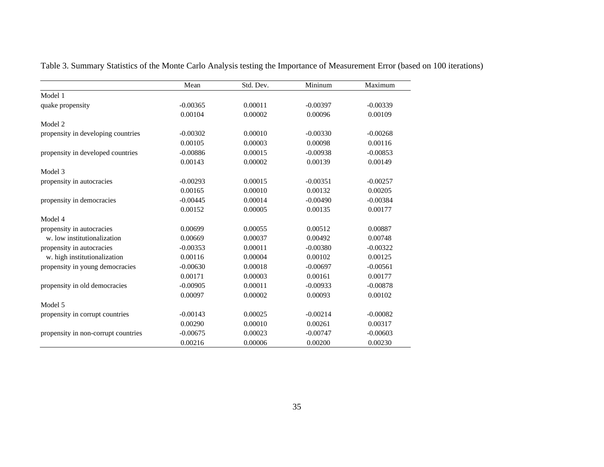|                                     | Mean       | Std. Dev. | Mininum    | Maximum    |
|-------------------------------------|------------|-----------|------------|------------|
| Model 1                             |            |           |            |            |
| quake propensity                    | $-0.00365$ | 0.00011   | $-0.00397$ | $-0.00339$ |
|                                     | 0.00104    | 0.00002   | 0.00096    | 0.00109    |
| Model 2                             |            |           |            |            |
| propensity in developing countries  | $-0.00302$ | 0.00010   | $-0.00330$ | $-0.00268$ |
|                                     | 0.00105    | 0.00003   | 0.00098    | 0.00116    |
| propensity in developed countries   | $-0.00886$ | 0.00015   | $-0.00938$ | $-0.00853$ |
|                                     | 0.00143    | 0.00002   | 0.00139    | 0.00149    |
| Model 3                             |            |           |            |            |
| propensity in autocracies           | $-0.00293$ | 0.00015   | $-0.00351$ | $-0.00257$ |
|                                     | 0.00165    | 0.00010   | 0.00132    | 0.00205    |
| propensity in democracies           | $-0.00445$ | 0.00014   | $-0.00490$ | $-0.00384$ |
|                                     | 0.00152    | 0.00005   | 0.00135    | 0.00177    |
| Model 4                             |            |           |            |            |
| propensity in autocracies           | 0.00699    | 0.00055   | 0.00512    | 0.00887    |
| w. low institutionalization         | 0.00669    | 0.00037   | 0.00492    | 0.00748    |
| propensity in autocracies           | $-0.00353$ | 0.00011   | $-0.00380$ | $-0.00322$ |
| w. high institutionalization        | 0.00116    | 0.00004   | 0.00102    | 0.00125    |
| propensity in young democracies     | $-0.00630$ | 0.00018   | $-0.00697$ | $-0.00561$ |
|                                     | 0.00171    | 0.00003   | 0.00161    | 0.00177    |
| propensity in old democracies       | $-0.00905$ | 0.00011   | $-0.00933$ | $-0.00878$ |
|                                     | 0.00097    | 0.00002   | 0.00093    | 0.00102    |
| Model 5                             |            |           |            |            |
| propensity in corrupt countries     | $-0.00143$ | 0.00025   | $-0.00214$ | $-0.00082$ |
|                                     | 0.00290    | 0.00010   | 0.00261    | 0.00317    |
| propensity in non-corrupt countries | $-0.00675$ | 0.00023   | $-0.00747$ | $-0.00603$ |
|                                     | 0.00216    | 0.00006   | 0.00200    | 0.00230    |

Table 3. Summary Statistics of the Monte Carlo Analysis testing the Importance of Measurement Error (based on 100 iterations)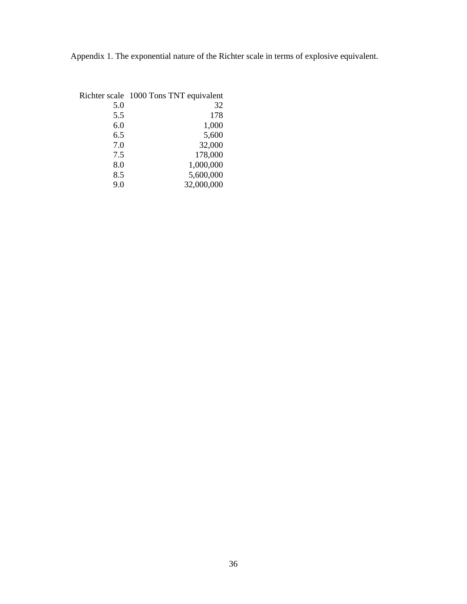Appendix 1. The exponential nature of the Richter scale in terms of explosive equivalent.

| Richter scale 1000 Tons TNT equivalent |
|----------------------------------------|
| 32                                     |
| 178                                    |
| 1,000                                  |
| 5,600                                  |
| 32,000                                 |
| 178,000                                |
| 1,000,000                              |
| 5,600,000                              |
| 32,000,000                             |
|                                        |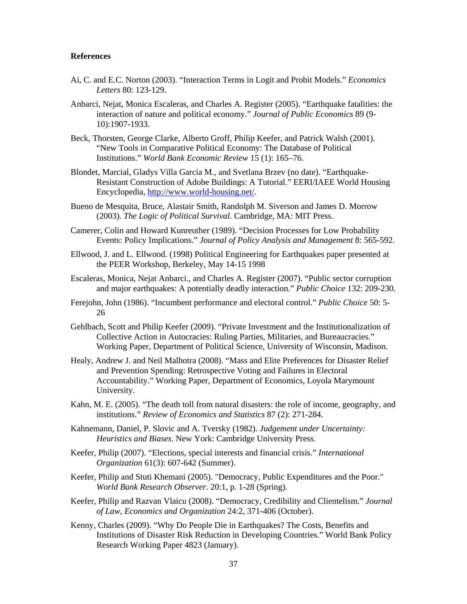#### **References**

- Ai, C. and E.C. Norton (2003). "Interaction Terms in Logit and Probit Models." *Economics Letters* 80: 123-129.
- Anbarci, Nejat, Monica Escaleras, and Charles A. Register (2005). "Earthquake fatalities: the interaction of nature and political economy." *Journal of Public Economics* 89 (9- 10):1907-1933.
- Beck, Thorsten, George Clarke, Alberto Groff, Philip Keefer, and Patrick Walsh (2001). "New Tools in Comparative Political Economy: The Database of Political Institutions." *World Bank Economic Review* 15 (1): 165–76.
- Blondet, Marcial, Gladys Villa Garcia M., and Svetlana Brzev (no date). "Earthquake-Resistant Construction of Adobe Buildings: A Tutorial." EERI/IAEE World Housing Encyclopedia, http://www.world-housing.net/.
- Bueno de Mesquita, Bruce, Alastair Smith, Randolph M. Siverson and James D. Morrow (2003). *The Logic of Political Survival*. Cambridge, MA: MIT Press.
- Camerer, Colin and Howard Kunreuther (1989). "Decision Processes for Low Probability Events: Policy Implications." *Journal of Policy Analysis and Management* 8: 565-592.
- Ellwood, J. and L. Ellwood. (1998) Political Engineering for Earthquakes paper presented at the PEER Workshop, Berkeley, May 14-15 1998
- Escaleras, Monica, Nejat Anbarci., and Charles A. Register (2007). "Public sector corruption and major earthquakes: A potentially deadly interaction." *Public Choice* 132: 209-230.
- Ferejohn, John (1986). "Incumbent performance and electoral control." *Public Choice* 50: 5- 26
- Gehlbach, Scott and Philip Keefer (2009). "Private Investment and the Institutionalization of Collective Action in Autocracies: Ruling Parties, Militaries, and Bureaucracies." Working Paper, Department of Political Science, University of Wisconsin, Madison.
- Healy, Andrew J. and Neil Malhotra (2008). "Mass and Elite Preferences for Disaster Relief and Prevention Spending: Retrospective Voting and Failures in Electoral Accountability." Working Paper, Department of Economics, Loyola Marymount University.
- Kahn, M. E. (2005). "The death toll from natural disasters: the role of income, geography, and institutions." *Review of Economics and Statistics* 87 (2): 271-284.
- Kahnemann, Daniel, P. Slovic and A. Tversky (1982). *Judgement under Uncertainty: Heuristics and Biases*. New York: Cambridge University Press.
- Keefer, Philip (2007). "Elections, special interests and financial crisis." *International Organization* 61(3): 607-642 (Summer).
- Keefer, Philip and Stuti Khemani (2005). "Democracy, Public Expenditures and the Poor." *World Bank Research Observer*. 20:1, p. 1-28 (Spring).
- Keefer, Philip and Razvan Vlaicu (2008). "Democracy, Credibility and Clientelism." *Journal of Law, Economics and Organization* 24:2, 371-406 (October).
- Kenny, Charles (2009). "Why Do People Die in Earthquakes? The Costs, Benefits and Institutions of Disaster Risk Reduction in Developing Countries." World Bank Policy Research Working Paper 4823 (January).